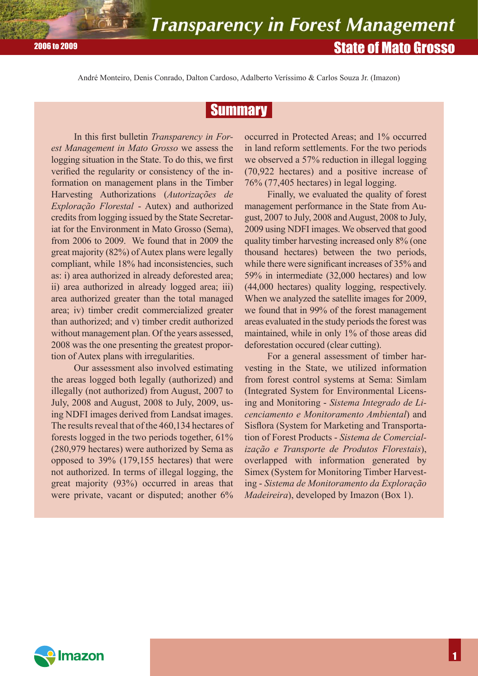André Monteiro, Denis Conrado, Dalton Cardoso, Adalberto Veríssimo & Carlos Souza Jr. (Imazon)

# **Summary**

In this first bulletin *Transparency in Forest Management in Mato Grosso* we assess the logging situation in the State. To do this, we first verified the regularity or consistency of the information on management plans in the Timber Harvesting Authorizations (*Autorizações de Exploração Florestal* - Autex) and authorized credits from logging issued by the State Secretariat for the Environment in Mato Grosso (Sema), from 2006 to 2009. We found that in 2009 the great majority (82%) of Autex plans were legally compliant, while 18% had inconsistencies, such as: i) area authorized in already deforested area; ii) area authorized in already logged area; iii) area authorized greater than the total managed area; iv) timber credit commercialized greater than authorized; and v) timber credit authorized without management plan. Of the years assessed, 2008 was the one presenting the greatest proportion of Autex plans with irregularities.

Our assessment also involved estimating the areas logged both legally (authorized) and illegally (not authorized) from August, 2007 to July, 2008 and August, 2008 to July, 2009, using NDFI images derived from Landsat images. The results reveal that of the 460,134 hectares of forests logged in the two periods together, 61% (280,979 hectares) were authorized by Sema as opposed to 39% (179,155 hectares) that were not authorized. In terms of illegal logging, the great majority (93%) occurred in areas that were private, vacant or disputed; another 6%

occurred in Protected Areas; and 1% occurred in land reform settlements. For the two periods we observed a 57% reduction in illegal logging (70,922 hectares) and a positive increase of 76% (77,405 hectares) in legal logging.

Finally, we evaluated the quality of forest management performance in the State from August, 2007 to July, 2008 and August, 2008 to July, 2009 using NDFI images. We observed that good quality timber harvesting increased only 8% (one thousand hectares) between the two periods, while there were significant increases of 35% and 59% in intermediate (32,000 hectares) and low (44,000 hectares) quality logging, respectively. When we analyzed the satellite images for 2009, we found that in 99% of the forest management areas evaluated in the study periods the forest was maintained, while in only 1% of those areas did deforestation occured (clear cutting).

For a general assessment of timber harvesting in the State, we utilized information from forest control systems at Sema: Simlam (Integrated System for Environmental Licensing and Monitoring - *Sistema Integrado de Licenciamento e Monitoramento Ambiental*) and Sisflora (System for Marketing and Transportation of Forest Products - *Sistema de Comercialização e Transporte de Produtos Florestais*), overlapped with information generated by Simex (System for Monitoring Timber Harvesting - *Sistema de Monitoramento da Exploração Madeireira*), developed by Imazon (Box 1).

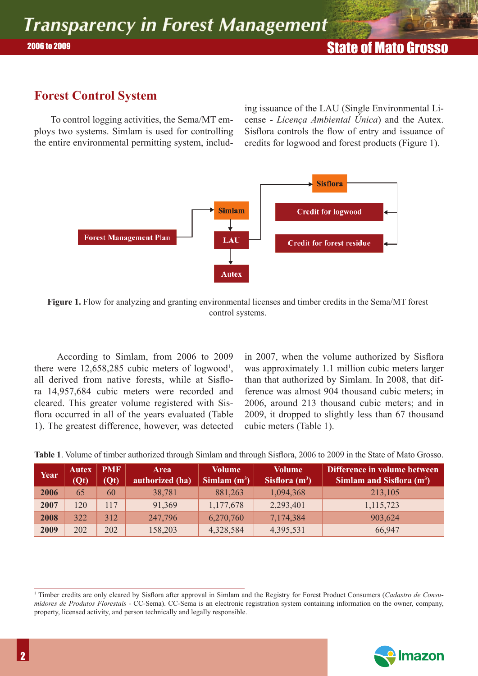## **Forest Control System**

 To control logging activities, the Sema/MT employs two systems. Simlam is used for controlling the entire environmental permitting system, including issuance of the LAU (Single Environmental License - *Licença Ambiental Única*) and the Autex. Sisflora controls the flow of entry and issuance of credits for logwood and forest products (Figure 1).



**Figure 1.** Flow for analyzing and granting environmental licenses and timber credits in the Sema/MT forest control systems.

According to Simlam, from 2006 to 2009 there were  $12,658,285$  cubic meters of logwood<sup>1</sup>, all derived from native forests, while at Sisflora 14,957,684 cubic meters were recorded and cleared. This greater volume registered with Sisflora occurred in all of the years evaluated (Table 1). The greatest difference, however, was detected

in 2007, when the volume authorized by Sisflora was approximately 1.1 million cubic meters larger than that authorized by Simlam. In 2008, that difference was almost 904 thousand cubic meters; in 2006, around 213 thousand cubic meters; and in 2009, it dropped to slightly less than 67 thousand cubic meters (Table 1).

| Year | Autex<br>(Qt) | <b>PMF</b><br>(Qt) | <b>Area</b><br>authorized (ha) | Volume<br>$\mathrm{Similar}(\mathrm{m}^3)$ | <b>Volume</b><br>Sisflora $(m^3)$ | Difference in volume between<br><b>Simlam and Sisflora (m<sup>3</sup>)</b> |
|------|---------------|--------------------|--------------------------------|--------------------------------------------|-----------------------------------|----------------------------------------------------------------------------|
| 2006 | 65            | 60                 | 38,781                         | 881,263                                    | 1,094,368                         | 213,105                                                                    |
| 2007 | 120           | 117                | 91,369                         | 1,177,678                                  | 2,293,401                         | 1,115,723                                                                  |
| 2008 | 322           | 312                | 247,796                        | 6,270,760                                  | 7,174,384                         | 903,624                                                                    |
| 2009 | 202           | 202                | 158,203                        | 4,328,584                                  | 4,395,531                         | 66,947                                                                     |

**Table 1**. Volume of timber authorized through Simlam and through Sisflora, 2006 to 2009 in the State of Mato Grosso.

<sup>&</sup>lt;sup>1</sup> Timber credits are only cleared by Sisflora after approval in Simlam and the Registry for Forest Product Consumers (*Cadastro de Consumidores de Produtos Florestais* - CC-Sema). CC-Sema is an electronic registration system containing information on the owner, company, property, licensed activity, and person technically and legally responsible.

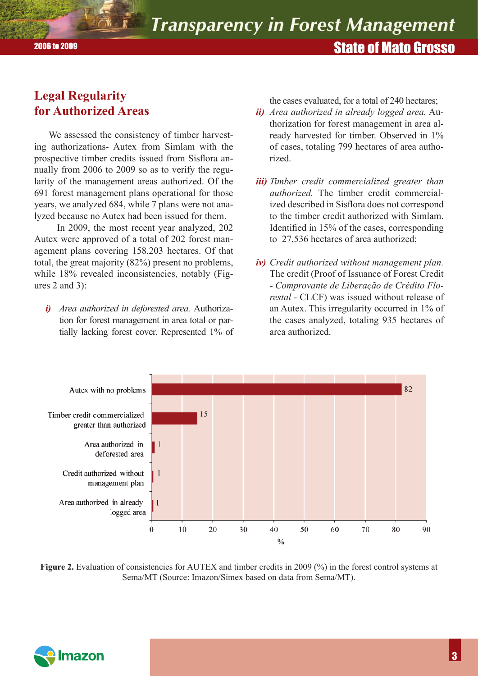# State of Mato Grosso 2006 to 2009

## **Legal Regularity for Authorized Areas**

We assessed the consistency of timber harvesting authorizations- Autex from Simlam with the prospective timber credits issued from Sisflora annually from 2006 to 2009 so as to verify the regularity of the management areas authorized. Of the 691 forest management plans operational for those years, we analyzed 684, while 7 plans were not analyzed because no Autex had been issued for them.

In 2009, the most recent year analyzed, 202 Autex were approved of a total of 202 forest management plans covering 158,203 hectares. Of that total, the great majority (82%) present no problems, while 18% revealed inconsistencies, notably (Figures 2 and 3):

*i) Area authorized in deforested area.* Authorization for forest management in area total or partially lacking forest cover. Represented 1% of the cases evaluated, for a total of 240 hectares;

- *ii) Area authorized in already logged area.* Authorization for forest management in area already harvested for timber. Observed in 1% of cases, totaling 799 hectares of area authorized.
- *iii) Timber credit commercialized greater than authorized.* The timber credit commercialized described in Sisflora does not correspond to the timber credit authorized with Simlam. Identified in 15% of the cases, corresponding to 27,536 hectares of area authorized;
- *iv) Credit authorized without management plan.* The credit (Proof of Issuance of Forest Credit - *Comprovante de Liberação de Crédito Florestal* - CLCF) was issued without release of an Autex. This irregularity occurred in 1% of the cases analyzed, totaling 935 hectares of area authorized.



**Figure 2.** Evaluation of consistencies for AUTEX and timber credits in 2009 (%) in the forest control systems at Sema/MT (Source: Imazon/Simex based on data from Sema/MT).

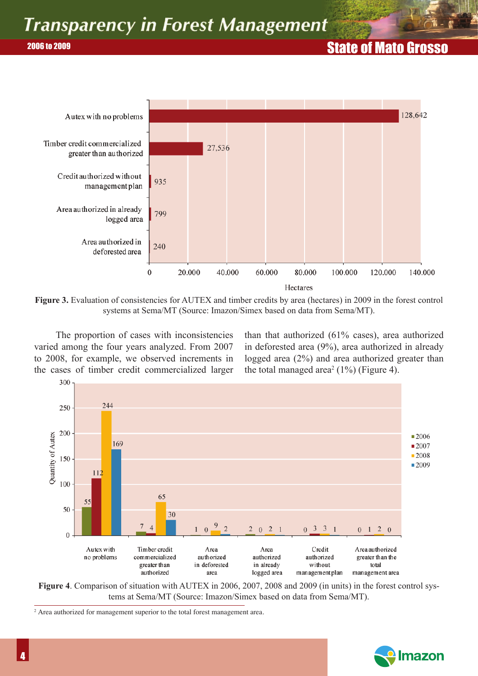# State of Mato Grosso 2006 to 2009



**Figure 3.** Evaluation of consistencies for AUTEX and timber credits by area (hectares) in 2009 in the forest control systems at Sema/MT (Source: Imazon/Simex based on data from Sema/MT).

The proportion of cases with inconsistencies varied among the four years analyzed. From 2007 to 2008, for example, we observed increments in the cases of timber credit commercialized larger than that authorized (61% cases), area authorized in deforested area (9%), area authorized in already logged area (2%) and area authorized greater than the total managed area<sup>2</sup> (1%) (Figure 4).



**Figure 4**. Comparison of situation with AUTEX in 2006, 2007, 2008 and 2009 (in units) in the forest control systems at Sema/MT (Source: Imazon/Simex based on data from Sema/MT).

<sup>2</sup> Area authorized for management superior to the total forest management area.

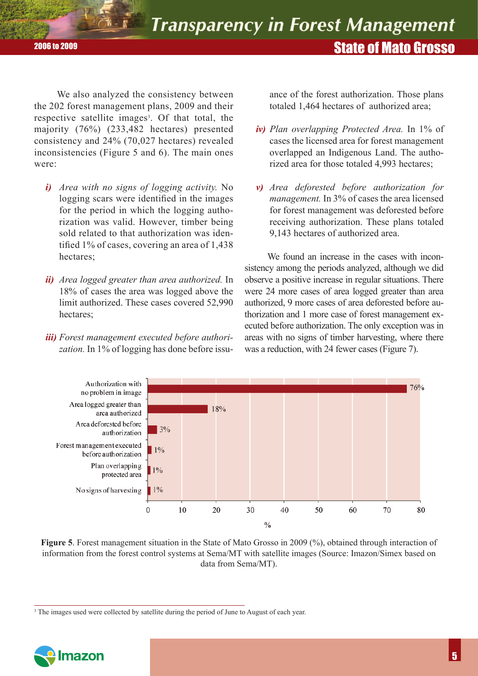State of Mato Grosso 2006 to 2009

We also analyzed the consistency between the 202 forest management plans, 2009 and their respective satellite images<sup>3</sup>. Of that total, the majority (76%) (233,482 hectares) presented consistency and 24% (70,027 hectares) revealed inconsistencies (Figure 5 and 6). The main ones were:

- *i) Area with no signs of logging activity.* No logging scars were identified in the images for the period in which the logging authorization was valid. However, timber being sold related to that authorization was identified 1% of cases, covering an area of  $1,438$ hectares;
- *ii) Area logged greater than area authorized.* In 18% of cases the area was logged above the limit authorized. These cases covered 52,990 hectares;
- *iii) Forest management executed before authori*zation. In 1% of logging has done before issu-

ance of the forest authorization. Those plans totaled 1,464 hectares of authorized area;

- *iv) Plan overlapping Protected Area.* In 1% of cases the licensed area for forest management overlapped an Indigenous Land. The authorized area for those totaled 4,993 hectares;
- *v) Area deforested before authorization for management.* In 3% of cases the area licensed for forest management was deforested before receiving authorization. These plans totaled 9,143 hectares of authorized area.

We found an increase in the cases with inconsistency among the periods analyzed, although we did observe a positive increase in regular situations. There were 24 more cases of area logged greater than area authorized, 9 more cases of area deforested before authorization and 1 more case of forest management executed before authorization. The only exception was in areas with no signs of timber harvesting, where there was a reduction, with 24 fewer cases (Figure 7).



**Figure 5**. Forest management situation in the State of Mato Grosso in 2009 (%), obtained through interaction of information from the forest control systems at Sema/MT with satellite images (Source: Imazon/Simex based on data from Sema/MT).

<sup>&</sup>lt;sup>3</sup> The images used were collected by satellite during the period of June to August of each year.

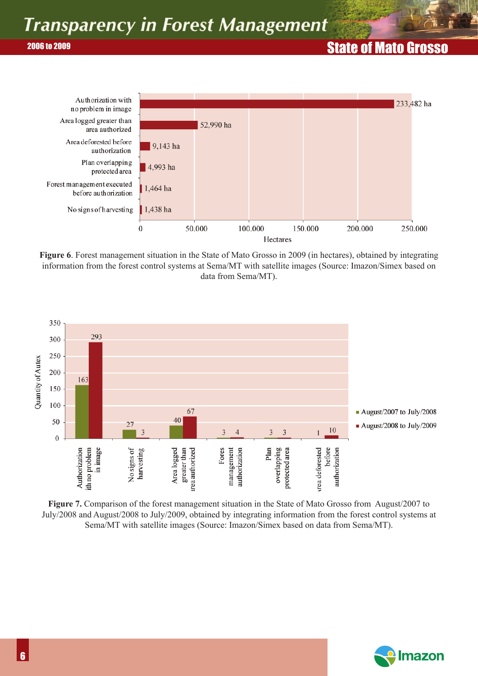# **2006 to 2009 State of Mato Grosso 2006 to 2006 to 2006 to 2006 to 2006 to 2006 to 2006 to 2006 to 2006 to 2006 to 2006 to 2006 to 2006 to 2006 to 2006 to 2006 to 2006 to 2006 to 2006 to 2006 to 2006 to 2006 to 2006 to 2**



**Figure 6**. Forest management situation in the State of Mato Grosso in 2009 (in hectares), obtained by integrating information from the forest control systems at Sema/MT with satellite images (Source: Imazon/Simex based on data from Sema/MT).



**Figure 7.** Comparison of the forest management situation in the State of Mato Grosso from August/2007 to July/2008 and August/2008 to July/2009, obtained by integrating information from the forest control systems at Sema/MT with satellite images (Source: Imazon/Simex based on data from Sema/MT).

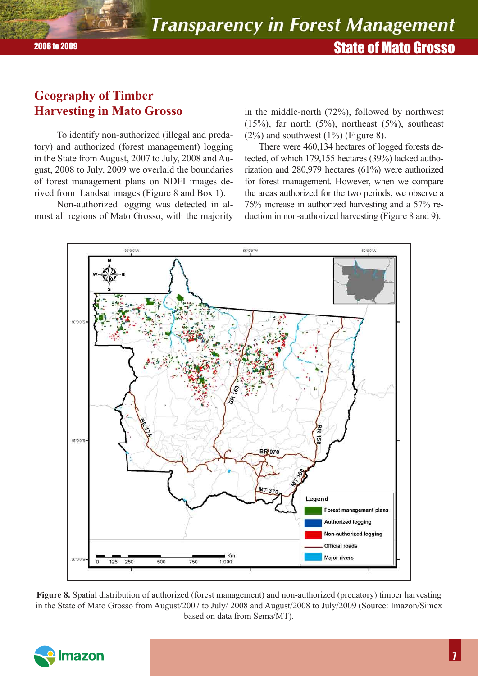## **Geography of Timber Harvesting in Mato Grosso**

To identify non-authorized (illegal and predatory) and authorized (forest management) logging in the State from August, 2007 to July, 2008 and August, 2008 to July, 2009 we overlaid the boundaries of forest management plans on NDFI images derived from Landsat images (Figure 8 and Box 1).

Non-authorized logging was detected in almost all regions of Mato Grosso, with the majority

in the middle-north (72%), followed by northwest  $(15\%)$ , far north  $(5\%)$ , northeast  $(5\%)$ , southeast  $(2%)$  and southwest  $(1%)$  (Figure 8).

There were 460,134 hectares of logged forests detected, of which 179,155 hectares (39%) lacked authorization and 280,979 hectares (61%) were authorized for forest management. However, when we compare the areas authorized for the two periods, we observe a 76% increase in authorized harvesting and a 57% reduction in non-authorized harvesting (Figure 8 and 9).



**Figure 8.** Spatial distribution of authorized (forest management) and non-authorized (predatory) timber harvesting in the State of Mato Grosso from August/2007 to July/ 2008 and August/2008 to July/2009 (Source: Imazon/Simex based on data from Sema/MT).

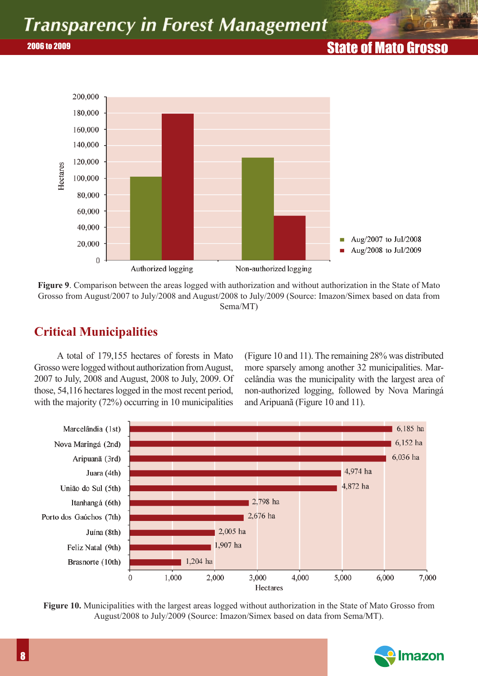# **2006 to 2009**



**Figure 9**. Comparison between the areas logged with authorization and without authorization in the State of Mato Grosso from August/2007 to July/2008 and August/2008 to July/2009 (Source: Imazon/Simex based on data from Sema/MT)

# **Critical Municipalities**

A total of 179,155 hectares of forests in Mato Grosso were logged without authorization from August, 2007 to July, 2008 and August, 2008 to July, 2009. Of those, 54,116 hectares logged in the most recent period, with the majority (72%) occurring in 10 municipalities (Figure 10 and 11). The remaining 28% was distributed more sparsely among another 32 municipalities. Marcelândia was the municipality with the largest area of non-authorized logging, followed by Nova Maringá and Aripuanã (Figure 10 and 11).



**Figure 10.** Municipalities with the largest areas logged without authorization in the State of Mato Grosso from August/2008 to July/2009 (Source: Imazon/Simex based on data from Sema/MT).

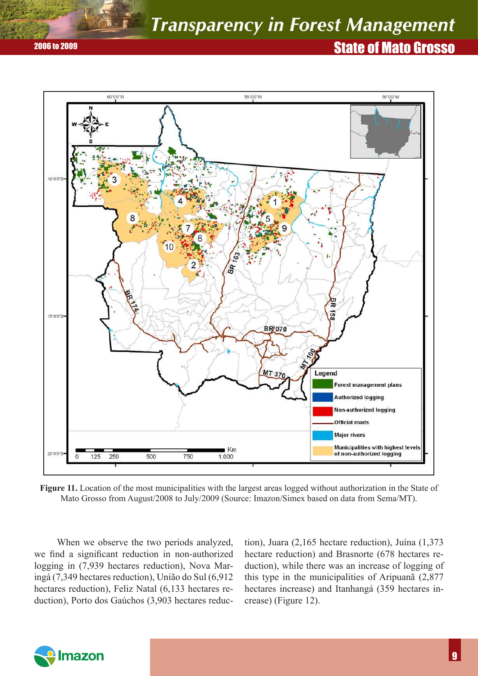# State of Mato Grosso 2006 to 2009



**Figure 11.** Location of the most municipalities with the largest areas logged without authorization in the State of Mato Grosso from August/2008 to July/2009 (Source: Imazon/Simex based on data from Sema/MT).

When we observe the two periods analyzed, we find a significant reduction in non-authorized logging in (7,939 hectares reduction), Nova Maringá (7,349 hectares reduction), União do Sul (6,912 hectares reduction), Feliz Natal (6,133 hectares reduction), Porto dos Gaúchos (3,903 hectares reduc-

tion), Juara (2,165 hectare reduction), Juína (1,373 hectare reduction) and Brasnorte (678 hectares reduction), while there was an increase of logging of this type in the municipalities of Aripuanã (2,877 hectares increase) and Itanhangá (359 hectares increase) (Figure 12).

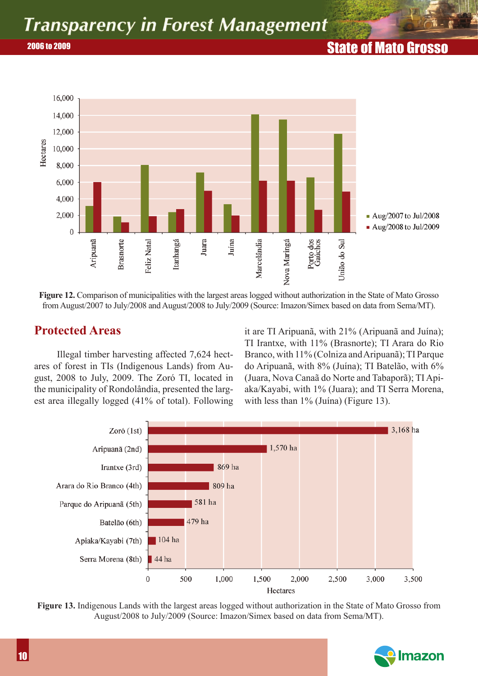# **2006 to 2009 State of Mato Grosso 2006 to 2006 to 2006 to 2006 to 2006 to 2006 to 2006 to 2006 to 2006 to 2006 to 2006 to 2006 to 2006 to 2006 to 2006 to 2006 to 2006 to 2006 to 2006 to 2006 to 2006 to 2006 to 2006 to 2**



**Figure 12.** Comparison of municipalities with the largest areas logged without authorization in the State of Mato Grosso from August/2007 to July/2008 and August/2008 to July/2009 (Source: Imazon/Simex based on data from Sema/MT).

### **Protected Areas**

Illegal timber harvesting affected 7,624 hectares of forest in TIs (Indigenous Lands) from August, 2008 to July, 2009. The Zoró TI, located in the municipality of Rondolândia, presented the largest area illegally logged (41% of total). Following it are TI Aripuanã, with 21% (Aripuanã and Juína); TI Irantxe, with 11% (Brasnorte); TI Arara do Rio Branco, with 11% (Colniza and Aripuanã); TI Parque do Aripuanã, with 8% (Juína); TI Batelão, with 6% (Juara, Nova Canaã do Norte and Tabaporã); TI Apiaka/Kayabi, with 1% (Juara); and TI Serra Morena, with less than 1% (Juína) (Figure 13).



**Figure 13.** Indigenous Lands with the largest areas logged without authorization in the State of Mato Grosso from August/2008 to July/2009 (Source: Imazon/Simex based on data from Sema/MT).

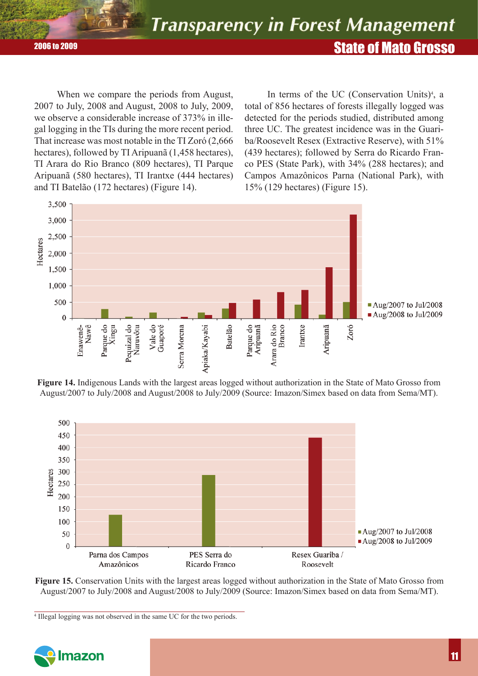State of Mato Grosso 2006 to 2009

When we compare the periods from August, 2007 to July, 2008 and August, 2008 to July, 2009, we observe a considerable increase of 373% in illegal logging in the TIs during the more recent period. That increase was most notable in the TI Zoró (2,666 hectares), followed by TI Aripuanã (1,458 hectares), TI Arara do Rio Branco (809 hectares), TI Parque Aripuanã (580 hectares), TI Irantxe (444 hectares) and TI Batelão (172 hectares) (Figure 14).

In terms of the UC (Conservation Units)<sup>4</sup>, a total of 856 hectares of forests illegally logged was detected for the periods studied, distributed among three UC. The greatest incidence was in the Guariba/Roosevelt Resex (Extractive Reserve), with 51% (439 hectares); followed by Serra do Ricardo Franco PES (State Park), with 34% (288 hectares); and Campos Amazônicos Parna (National Park), with 15% (129 hectares) (Figure 15).



**Figure 14.** Indigenous Lands with the largest areas logged without authorization in the State of Mato Grosso from August/2007 to July/2008 and August/2008 to July/2009 (Source: Imazon/Simex based on data from Sema/MT).



**Figure 15.** Conservation Units with the largest areas logged without authorization in the State of Mato Grosso from August/2007 to July/2008 and August/2008 to July/2009 (Source: Imazon/Simex based on data from Sema/MT).

<sup>4</sup> Illegal logging was not observed in the same UC for the two periods.

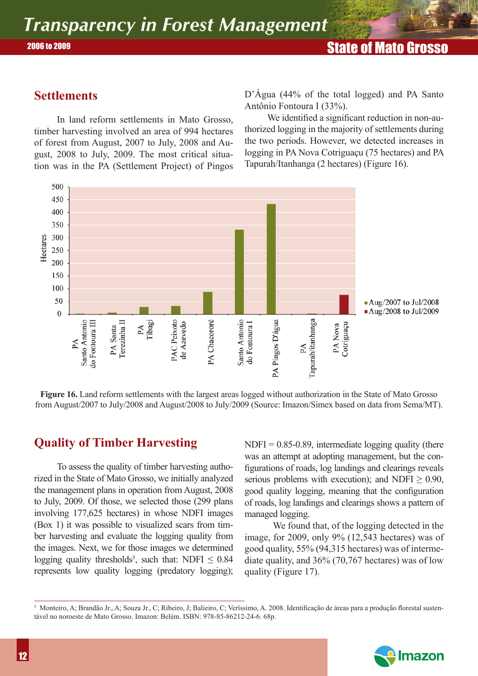## **Settlements**

In land reform settlements in Mato Grosso, timber harvesting involved an area of 994 hectares of forest from August, 2007 to July, 2008 and August, 2008 to July, 2009. The most critical situation was in the PA (Settlement Project) of Pingos D'Água (44% of the total logged) and PA Santo Antônio Fontoura I (33%).

We identified a significant reduction in non-authorized logging in the majority of settlements during the two periods. However, we detected increases in logging in PA Nova Cotriguaçu (75 hectares) and PA Tapurah/Itanhanga (2 hectares) (Figure 16).



**Figure 16.** Land reform settlements with the largest areas logged without authorization in the State of Mato Grosso from August/2007 to July/2008 and August/2008 to July/2009 (Source: Imazon/Simex based on data from Sema/MT).

# **Quality of Timber Harvesting**

To assess the quality of timber harvesting authorized in the State of Mato Grosso, we initially analyzed the management plans in operation from August, 2008 to July, 2009. Of those, we selected those (299 plans involving 177,625 hectares) in whose NDFI images (Box 1) it was possible to visualized scars from timber harvesting and evaluate the logging quality from the images. Next, we for those images we determined logging quality thresholds<sup>5</sup>, such that: NDFI  $\leq 0.84$ represents low quality logging (predatory logging);

 $NDFI = 0.85-0.89$ , intermediate logging quality (there was an attempt at adopting management, but the configurations of roads, log landings and clearings reveals serious problems with execution); and NDFI  $\geq$  0.90, good quality logging, meaning that the configuration of roads, log landings and clearings shows a pattern of managed logging.

We found that, of the logging detected in the image, for 2009, only 9% (12,543 hectares) was of good quality, 55% (94,315 hectares) was of intermediate quality, and 36% (70,767 hectares) was of low quality (Figure 17).

 $^5$  Monteiro, A; Brandão Jr., A; Souza Jr., C; Ribeiro, J; Balieiro, C; Veríssimo, A. 2008. Identificação de áreas para a produção florestal sustentável no noroeste de Mato Grosso. Imazon: Belém. ISBN: 978-85-86212-24-6. 68p.

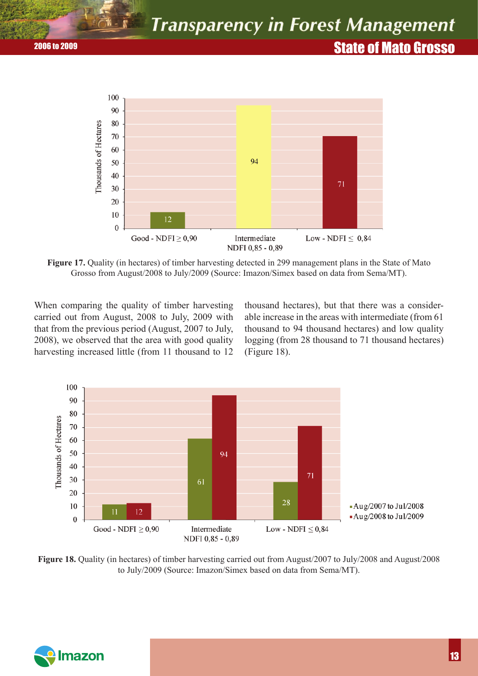# **2006 to 2009** 2006 to 2009 2006 to 2006 to 2006 2007 2006 to 2006 2007 2006 2007 2006 2007 2008 2009 2007 2008 2



**Figure 17.** Quality (in hectares) of timber harvesting detected in 299 management plans in the State of Mato Grosso from August/2008 to July/2009 (Source: Imazon/Simex based on data from Sema/MT).

When comparing the quality of timber harvesting carried out from August, 2008 to July, 2009 with that from the previous period (August, 2007 to July, 2008), we observed that the area with good quality harvesting increased little (from 11 thousand to 12 thousand hectares), but that there was a considerable increase in the areas with intermediate (from 61 thousand to 94 thousand hectares) and low quality logging (from 28 thousand to 71 thousand hectares) (Figure 18).



**Figure 18.** Quality (in hectares) of timber harvesting carried out from August/2007 to July/2008 and August/2008 to July/2009 (Source: Imazon/Simex based on data from Sema/MT).

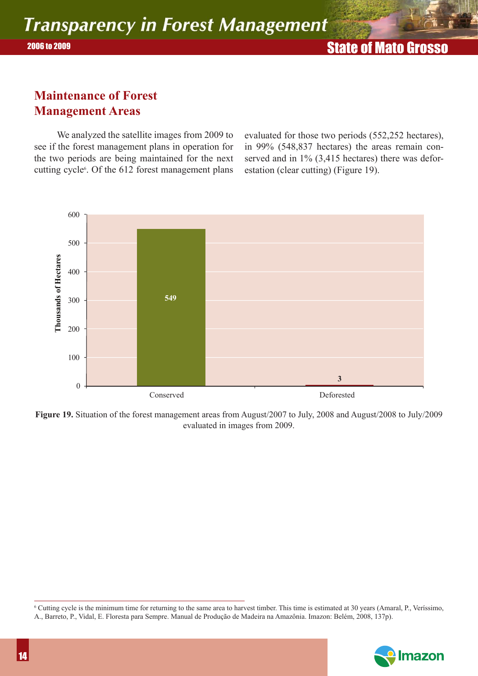## **Maintenance of Forest Management Areas**

We analyzed the satellite images from 2009 to see if the forest management plans in operation for the two periods are being maintained for the next cutting cycle<sup>6</sup>. Of the 612 forest management plans evaluated for those two periods (552,252 hectares), in 99% (548,837 hectares) the areas remain conserved and in 1% (3,415 hectares) there was deforestation (clear cutting) (Figure 19).

![](_page_13_Figure_5.jpeg)

**Figure 19.** Situation of the forest management areas from August/2007 to July, 2008 and August/2008 to July/2009 evaluated in images from 2009.

<sup>6</sup> Cutting cycle is the minimum time for returning to the same area to harvest timber. This time is estimated at 30 years (Amaral, P., Veríssimo, A., Barreto, P., Vidal, E. Floresta para Sempre. Manual de Produção de Madeira na Amazônia. Imazon: Belém, 2008, 137p).

![](_page_13_Picture_8.jpeg)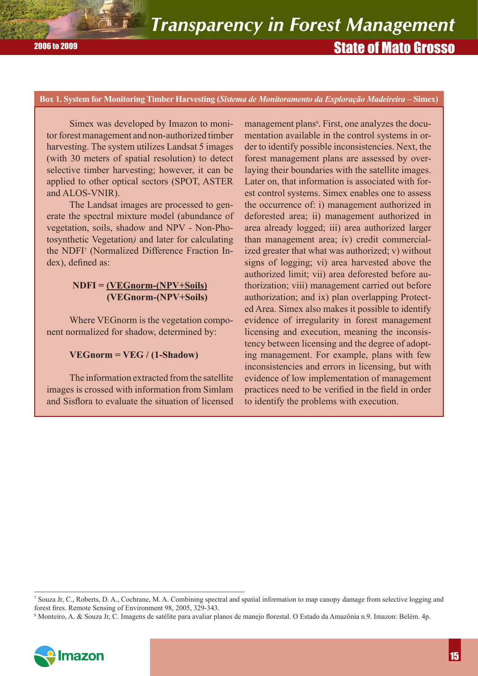### **Box 1. System for Monitoring Timber Harvesting (***Sistema de Monitoramento da Exploração Madeireira* **– Simex)**

Simex was developed by Imazon to monitor forest management and non-authorized timber harvesting. The system utilizes Landsat 5 images (with 30 meters of spatial resolution) to detect selective timber harvesting; however, it can be applied to other optical sectors (SPOT, ASTER and ALOS-VNIR).

The Landsat images are processed to generate the spectral mixture model (abundance of vegetation, soils, shadow and NPV - Non-Photosynthetic Vegetation*)* and later for calculating the NDFI<sup>7</sup> (Normalized Difference Fraction Index), defined as:

### **NDFI = (VEGnorm-(NPV+Soils) (VEGnorm-(NPV+Soils)**

Where VEGnorm is the vegetation component normalized for shadow, determined by:

### **VEGnorm = VEG / (1-Shadow)**

The information extracted from the satellite images is crossed with information from Simlam and Sisflora to evaluate the situation of licensed

management plans<sup>8</sup>. First, one analyzes the documentation available in the control systems in order to identify possible inconsistencies. Next, the forest management plans are assessed by overlaying their boundaries with the satellite images. Later on, that information is associated with forest control systems. Simex enables one to assess the occurrence of: i) management authorized in deforested area; ii) management authorized in area already logged; iii) area authorized larger than management area; iv) credit commercialized greater that what was authorized; v) without signs of logging; vi) area harvested above the authorized limit; vii) area deforested before authorization; viii) management carried out before authorization; and ix) plan overlapping Protected Area. Simex also makes it possible to identify evidence of irregularity in forest management licensing and execution, meaning the inconsistency between licensing and the degree of adopting management. For example, plans with few inconsistencies and errors in licensing, but with evidence of low implementation of management practices need to be verified in the field in order to identify the problems with execution.

<sup>8</sup> Monteiro, A. & Souza Jr, C. Imagens de satélite para avaliar planos de manejo florestal. O Estado da Amazônia n.9. Imazon: Belém. 4p.

![](_page_14_Picture_13.jpeg)

<sup>7</sup> Souza Jr, C., Roberts, D. A., Cochrane, M. A. Combining spectral and spatial information to map canopy damage from selective logging and forest fires. Remote Sensing of Environment 98, 2005, 329-343.